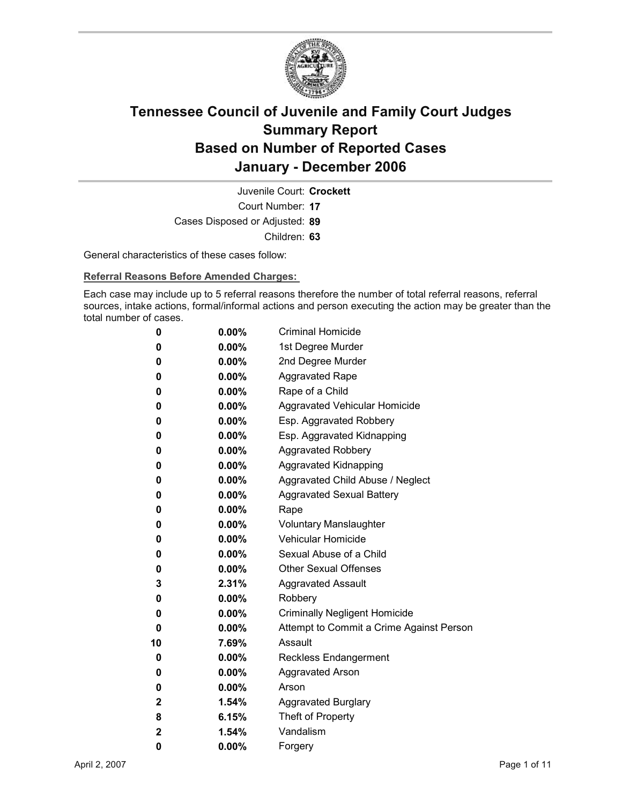

Court Number: **17** Juvenile Court: **Crockett** Cases Disposed or Adjusted: **89** Children: **63**

General characteristics of these cases follow:

**Referral Reasons Before Amended Charges:** 

Each case may include up to 5 referral reasons therefore the number of total referral reasons, referral sources, intake actions, formal/informal actions and person executing the action may be greater than the total number of cases.

| 0            | $0.00\%$ | <b>Criminal Homicide</b>                 |
|--------------|----------|------------------------------------------|
| 0            | $0.00\%$ | 1st Degree Murder                        |
| 0            | $0.00\%$ | 2nd Degree Murder                        |
| 0            | $0.00\%$ | <b>Aggravated Rape</b>                   |
| 0            | $0.00\%$ | Rape of a Child                          |
| 0            | $0.00\%$ | Aggravated Vehicular Homicide            |
| 0            | $0.00\%$ | Esp. Aggravated Robbery                  |
| 0            | $0.00\%$ | Esp. Aggravated Kidnapping               |
| 0            | $0.00\%$ | <b>Aggravated Robbery</b>                |
| 0            | $0.00\%$ | <b>Aggravated Kidnapping</b>             |
| 0            | $0.00\%$ | Aggravated Child Abuse / Neglect         |
| 0            | $0.00\%$ | <b>Aggravated Sexual Battery</b>         |
| 0            | $0.00\%$ | Rape                                     |
| 0            | $0.00\%$ | <b>Voluntary Manslaughter</b>            |
| 0            | $0.00\%$ | <b>Vehicular Homicide</b>                |
| 0            | $0.00\%$ | Sexual Abuse of a Child                  |
| 0            | $0.00\%$ | <b>Other Sexual Offenses</b>             |
| 3            | $2.31\%$ | <b>Aggravated Assault</b>                |
| 0            | $0.00\%$ | Robbery                                  |
| 0            | $0.00\%$ | <b>Criminally Negligent Homicide</b>     |
| 0            | $0.00\%$ | Attempt to Commit a Crime Against Person |
| 10           | 7.69%    | Assault                                  |
| 0            | $0.00\%$ | Reckless Endangerment                    |
| 0            | $0.00\%$ | <b>Aggravated Arson</b>                  |
| 0            | $0.00\%$ | Arson                                    |
| $\mathbf 2$  | 1.54%    | <b>Aggravated Burglary</b>               |
| 8            | 6.15%    | Theft of Property                        |
| $\mathbf{2}$ | 1.54%    | Vandalism                                |
| 0            | 0.00%    | Forgery                                  |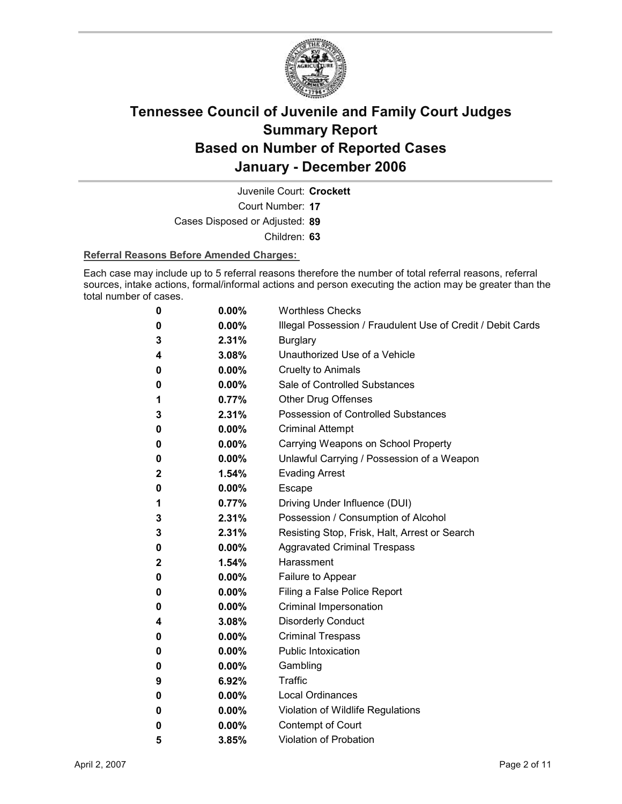

Juvenile Court: **Crockett**

Court Number: **17**

Cases Disposed or Adjusted: **89**

Children: **63**

#### **Referral Reasons Before Amended Charges:**

Each case may include up to 5 referral reasons therefore the number of total referral reasons, referral sources, intake actions, formal/informal actions and person executing the action may be greater than the total number of cases.

| 0 | 0.00%    | <b>Worthless Checks</b>                                     |
|---|----------|-------------------------------------------------------------|
| 0 | $0.00\%$ | Illegal Possession / Fraudulent Use of Credit / Debit Cards |
| 3 | 2.31%    | <b>Burglary</b>                                             |
| 4 | 3.08%    | Unauthorized Use of a Vehicle                               |
| 0 | $0.00\%$ | <b>Cruelty to Animals</b>                                   |
| 0 | $0.00\%$ | Sale of Controlled Substances                               |
| 1 | 0.77%    | <b>Other Drug Offenses</b>                                  |
| 3 | 2.31%    | Possession of Controlled Substances                         |
| 0 | $0.00\%$ | <b>Criminal Attempt</b>                                     |
| 0 | $0.00\%$ | Carrying Weapons on School Property                         |
| 0 | $0.00\%$ | Unlawful Carrying / Possession of a Weapon                  |
| 2 | 1.54%    | <b>Evading Arrest</b>                                       |
| 0 | $0.00\%$ | Escape                                                      |
| 1 | 0.77%    | Driving Under Influence (DUI)                               |
| 3 | 2.31%    | Possession / Consumption of Alcohol                         |
| 3 | 2.31%    | Resisting Stop, Frisk, Halt, Arrest or Search               |
| 0 | $0.00\%$ | <b>Aggravated Criminal Trespass</b>                         |
| 2 | $1.54\%$ | Harassment                                                  |
| 0 | $0.00\%$ | Failure to Appear                                           |
| 0 | $0.00\%$ | Filing a False Police Report                                |
| 0 | $0.00\%$ | Criminal Impersonation                                      |
| 4 | 3.08%    | <b>Disorderly Conduct</b>                                   |
| 0 | $0.00\%$ | <b>Criminal Trespass</b>                                    |
| 0 | $0.00\%$ | <b>Public Intoxication</b>                                  |
| 0 | $0.00\%$ | Gambling                                                    |
| 9 | 6.92%    | Traffic                                                     |
| 0 | $0.00\%$ | <b>Local Ordinances</b>                                     |
| 0 | $0.00\%$ | Violation of Wildlife Regulations                           |
| 0 | $0.00\%$ | Contempt of Court                                           |
| 5 | 3.85%    | <b>Violation of Probation</b>                               |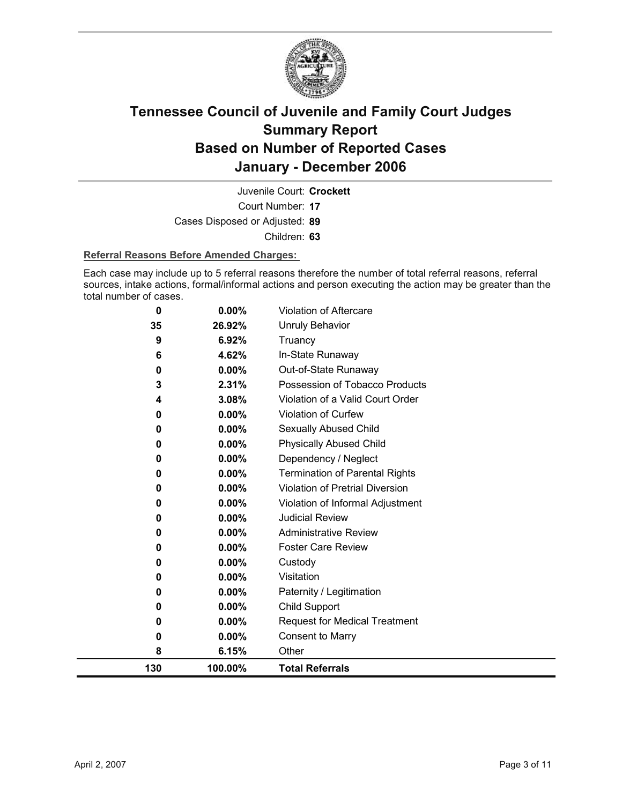

Court Number: **17** Juvenile Court: **Crockett** Cases Disposed or Adjusted: **89** Children: **63**

#### **Referral Reasons Before Amended Charges:**

Each case may include up to 5 referral reasons therefore the number of total referral reasons, referral sources, intake actions, formal/informal actions and person executing the action may be greater than the total number of cases.

| 130 | 100.00%  | <b>Total Referrals</b>                 |
|-----|----------|----------------------------------------|
| 8   | 6.15%    | Other                                  |
| 0   | 0.00%    | <b>Consent to Marry</b>                |
| 0   | $0.00\%$ | <b>Request for Medical Treatment</b>   |
| 0   | 0.00%    | Child Support                          |
| 0   | 0.00%    | Paternity / Legitimation               |
| 0   | 0.00%    | Visitation                             |
| 0   | 0.00%    | Custody                                |
| 0   | 0.00%    | <b>Foster Care Review</b>              |
| 0   | 0.00%    | <b>Administrative Review</b>           |
| 0   | $0.00\%$ | <b>Judicial Review</b>                 |
| 0   | 0.00%    | Violation of Informal Adjustment       |
| 0   | 0.00%    | <b>Violation of Pretrial Diversion</b> |
| 0   | 0.00%    | <b>Termination of Parental Rights</b>  |
| 0   | $0.00\%$ | Dependency / Neglect                   |
| 0   | 0.00%    | <b>Physically Abused Child</b>         |
| 0   | 0.00%    | Sexually Abused Child                  |
| 0   | $0.00\%$ | <b>Violation of Curfew</b>             |
| 4   | 3.08%    | Violation of a Valid Court Order       |
| 3   | 2.31%    | Possession of Tobacco Products         |
| 0   | 0.00%    | Out-of-State Runaway                   |
| 6   | 4.62%    | In-State Runaway                       |
| 9   | 6.92%    | Truancy                                |
| 35  | 26.92%   | Unruly Behavior                        |
| 0   | 0.00%    | <b>Violation of Aftercare</b>          |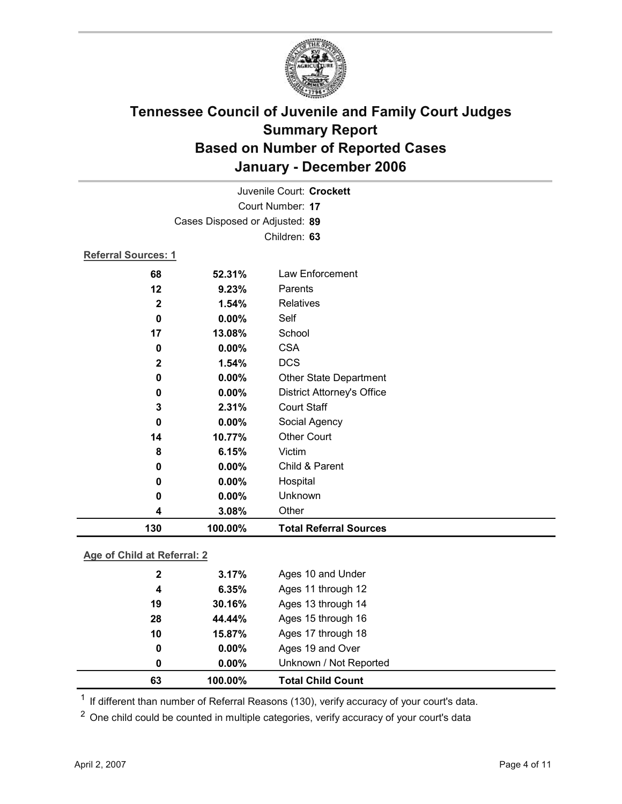

|                            | Juvenile Court: Crockett       |                                   |  |  |
|----------------------------|--------------------------------|-----------------------------------|--|--|
|                            |                                | Court Number: 17                  |  |  |
|                            | Cases Disposed or Adjusted: 89 |                                   |  |  |
|                            |                                | Children: 63                      |  |  |
| <b>Referral Sources: 1</b> |                                |                                   |  |  |
| 68                         | 52.31%                         | Law Enforcement                   |  |  |
| 12                         | 9.23%                          | Parents                           |  |  |
| $\mathbf 2$                | 1.54%                          | Relatives                         |  |  |
| 0                          | 0.00%                          | Self                              |  |  |
| 17                         | 13.08%                         | School                            |  |  |
| 0                          | $0.00\%$                       | <b>CSA</b>                        |  |  |
| $\mathbf 2$                | 1.54%                          | <b>DCS</b>                        |  |  |
| 0                          | 0.00%                          | Other State Department            |  |  |
| 0                          | 0.00%                          | <b>District Attorney's Office</b> |  |  |
| 3                          | 2.31%                          | <b>Court Staff</b>                |  |  |
| 0                          | 0.00%                          | Social Agency                     |  |  |
| 14                         | 10.77%                         | <b>Other Court</b>                |  |  |
| 8                          | 6.15%                          | Victim                            |  |  |
| 0                          | 0.00%                          | Child & Parent                    |  |  |
| 0                          | 0.00%                          | Hospital                          |  |  |
| 0                          | $0.00\%$                       | Unknown                           |  |  |
| 4                          | 3.08%                          | Other                             |  |  |
| 130                        | 100.00%                        | <b>Total Referral Sources</b>     |  |  |
|                            |                                |                                   |  |  |

### **Age of Child at Referral: 2**

| 63           | 100.00%  | <b>Total Child Count</b> |
|--------------|----------|--------------------------|
| 0            | $0.00\%$ | Unknown / Not Reported   |
| 0            | $0.00\%$ | Ages 19 and Over         |
| 10           | 15.87%   | Ages 17 through 18       |
| 28           | 44.44%   | Ages 15 through 16       |
| 19           | 30.16%   | Ages 13 through 14       |
| 4            | 6.35%    | Ages 11 through 12       |
| $\mathbf{2}$ | 3.17%    | Ages 10 and Under        |
|              |          |                          |

<sup>1</sup> If different than number of Referral Reasons (130), verify accuracy of your court's data.

<sup>2</sup> One child could be counted in multiple categories, verify accuracy of your court's data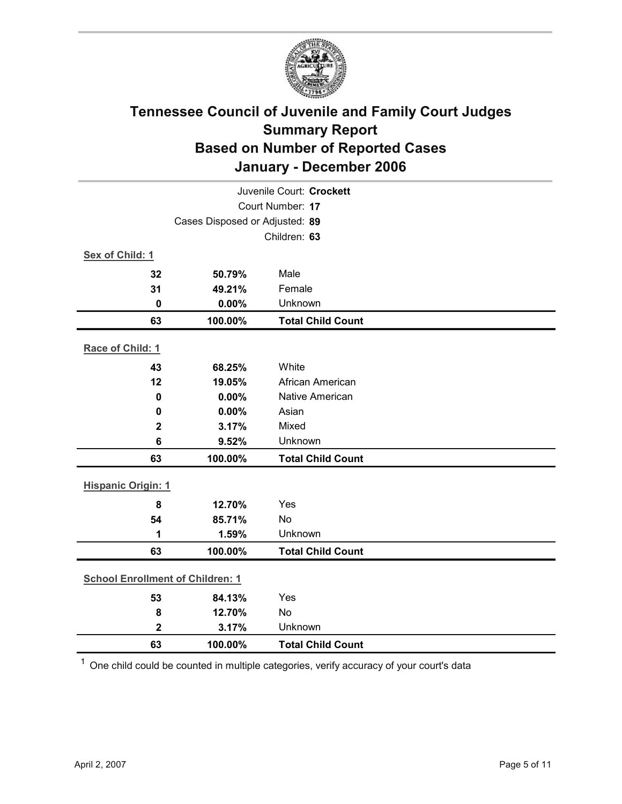

| Juvenile Court: Crockett                |                                |                          |  |  |  |
|-----------------------------------------|--------------------------------|--------------------------|--|--|--|
|                                         | Court Number: 17               |                          |  |  |  |
|                                         | Cases Disposed or Adjusted: 89 |                          |  |  |  |
|                                         |                                | Children: 63             |  |  |  |
| Sex of Child: 1                         |                                |                          |  |  |  |
| 32                                      | 50.79%                         | Male                     |  |  |  |
| 31                                      | 49.21%                         | Female                   |  |  |  |
| $\bf{0}$                                | 0.00%                          | Unknown                  |  |  |  |
| 63                                      | 100.00%                        | <b>Total Child Count</b> |  |  |  |
| Race of Child: 1                        |                                |                          |  |  |  |
| 43                                      | 68.25%                         | White                    |  |  |  |
| 12                                      | 19.05%                         | African American         |  |  |  |
| $\bf{0}$                                | 0.00%                          | Native American          |  |  |  |
| 0                                       | 0.00%                          | Asian                    |  |  |  |
| $\mathbf 2$                             | 3.17%                          | Mixed                    |  |  |  |
| $6\phantom{1}6$                         | 9.52%                          | Unknown                  |  |  |  |
| 63                                      | 100.00%                        | <b>Total Child Count</b> |  |  |  |
| <b>Hispanic Origin: 1</b>               |                                |                          |  |  |  |
| 8                                       | 12.70%                         | Yes                      |  |  |  |
| 54                                      | 85.71%                         | No                       |  |  |  |
| 1                                       | 1.59%                          | Unknown                  |  |  |  |
| 63                                      | 100.00%                        | <b>Total Child Count</b> |  |  |  |
| <b>School Enrollment of Children: 1</b> |                                |                          |  |  |  |
| 53                                      | 84.13%                         | Yes                      |  |  |  |
| 8                                       | 12.70%                         | No                       |  |  |  |
| $\overline{\mathbf{2}}$                 | 3.17%                          | Unknown                  |  |  |  |
| 63                                      | 100.00%                        | <b>Total Child Count</b> |  |  |  |

 $1$  One child could be counted in multiple categories, verify accuracy of your court's data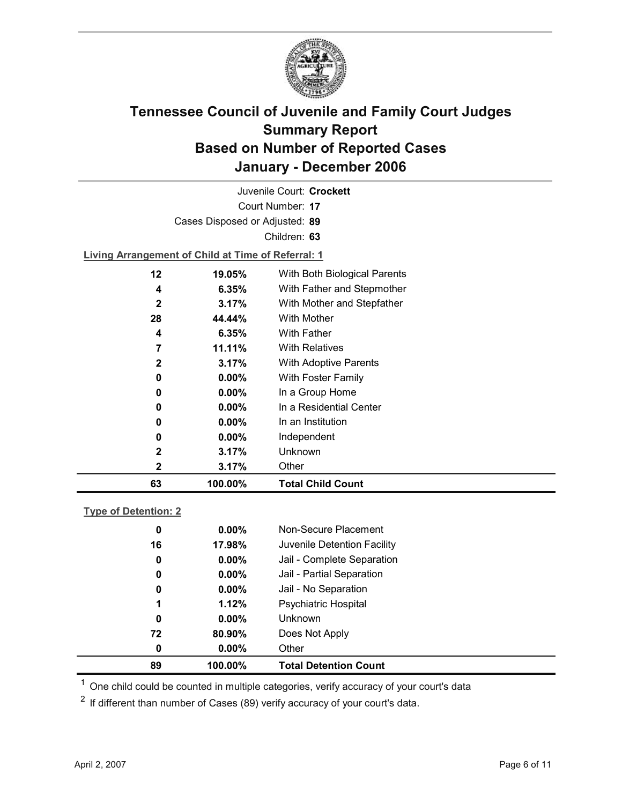

Court Number: **17** Juvenile Court: **Crockett** Cases Disposed or Adjusted: **89** Children: **63 Living Arrangement of Child at Time of Referral: 1 12 19.05%** With Both Biological Parents **4 6.35%** With Father and Stepmother

| 63           | 100.00%  | <b>Total Child Count</b>              |
|--------------|----------|---------------------------------------|
| 2            | 3.17%    | Other                                 |
| $\mathbf{2}$ | 3.17%    | Unknown                               |
| 0            | $0.00\%$ | Independent                           |
| 0            | $0.00\%$ | In an Institution                     |
| 0            | $0.00\%$ | In a Residential Center               |
| 0            | $0.00\%$ | In a Group Home                       |
| 0            | $0.00\%$ | With Foster Family                    |
| $\mathbf{2}$ | 3.17%    | <b>With Adoptive Parents</b>          |
| 7            | 11.11%   | <b>With Relatives</b>                 |
| 4            | 6.35%    | <b>With Father</b>                    |
| 28           | 44.44%   | With Mother                           |
| $\mathbf{2}$ | 3.17%    | With Mother and Stepfather            |
|              | ບ.ບບ /0  | <b>VVILLET QUICE QUID JUGNITULIES</b> |

### **Type of Detention: 2**

| 89 | 100.00%       | <b>Total Detention Count</b> |
|----|---------------|------------------------------|
|    | $0.00\%$<br>0 | Other                        |
| 72 | 80.90%        | Does Not Apply               |
|    | 0<br>$0.00\%$ | <b>Unknown</b>               |
|    | 1.12%<br>1    | <b>Psychiatric Hospital</b>  |
|    | $0.00\%$<br>0 | Jail - No Separation         |
|    | $0.00\%$<br>0 | Jail - Partial Separation    |
|    | $0.00\%$<br>0 | Jail - Complete Separation   |
| 16 | 17.98%        | Juvenile Detention Facility  |
|    | $0.00\%$<br>0 | Non-Secure Placement         |
|    |               |                              |

 $<sup>1</sup>$  One child could be counted in multiple categories, verify accuracy of your court's data</sup>

 $2$  If different than number of Cases (89) verify accuracy of your court's data.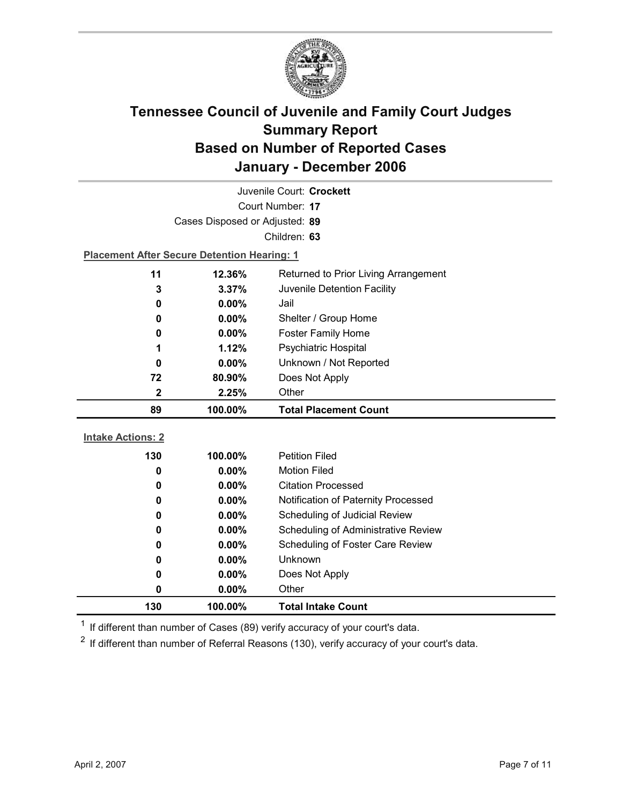

| Juvenile Court: Crockett                      |                                                    |                                     |  |  |  |
|-----------------------------------------------|----------------------------------------------------|-------------------------------------|--|--|--|
| Court Number: 17                              |                                                    |                                     |  |  |  |
|                                               | Cases Disposed or Adjusted: 89                     |                                     |  |  |  |
|                                               |                                                    | Children: 63                        |  |  |  |
|                                               | <b>Placement After Secure Detention Hearing: 1</b> |                                     |  |  |  |
| 11                                            | 12.36%<br>Returned to Prior Living Arrangement     |                                     |  |  |  |
| 3                                             | 3.37%                                              | Juvenile Detention Facility         |  |  |  |
| 0                                             | $0.00\%$                                           | Jail                                |  |  |  |
| 0                                             | 0.00%                                              | Shelter / Group Home                |  |  |  |
| 0                                             | $0.00\%$                                           | <b>Foster Family Home</b>           |  |  |  |
| 1                                             | 1.12%                                              | Psychiatric Hospital                |  |  |  |
| 0                                             | 0.00%                                              | Unknown / Not Reported              |  |  |  |
| 72                                            | 80.90%                                             | Does Not Apply                      |  |  |  |
| Other<br>2<br>2.25%                           |                                                    |                                     |  |  |  |
| 89<br>100.00%<br><b>Total Placement Count</b> |                                                    |                                     |  |  |  |
|                                               |                                                    |                                     |  |  |  |
|                                               |                                                    |                                     |  |  |  |
| <b>Intake Actions: 2</b>                      |                                                    |                                     |  |  |  |
| 130                                           | 100.00%                                            | <b>Petition Filed</b>               |  |  |  |
| 0                                             | $0.00\%$                                           | <b>Motion Filed</b>                 |  |  |  |
| 0                                             | 0.00%                                              | <b>Citation Processed</b>           |  |  |  |
| 0                                             | $0.00\%$                                           | Notification of Paternity Processed |  |  |  |
| 0                                             | 0.00%                                              | Scheduling of Judicial Review       |  |  |  |
| 0                                             | $0.00\%$                                           | Scheduling of Administrative Review |  |  |  |
| 0                                             | 0.00%                                              | Scheduling of Foster Care Review    |  |  |  |
| 0                                             | 0.00%                                              | <b>Unknown</b>                      |  |  |  |
| 0                                             | 0.00%                                              | Does Not Apply                      |  |  |  |
| 0<br>130                                      | 0.00%<br>100.00%                                   | Other<br><b>Total Intake Count</b>  |  |  |  |

 $1$  If different than number of Cases (89) verify accuracy of your court's data.

 $2$  If different than number of Referral Reasons (130), verify accuracy of your court's data.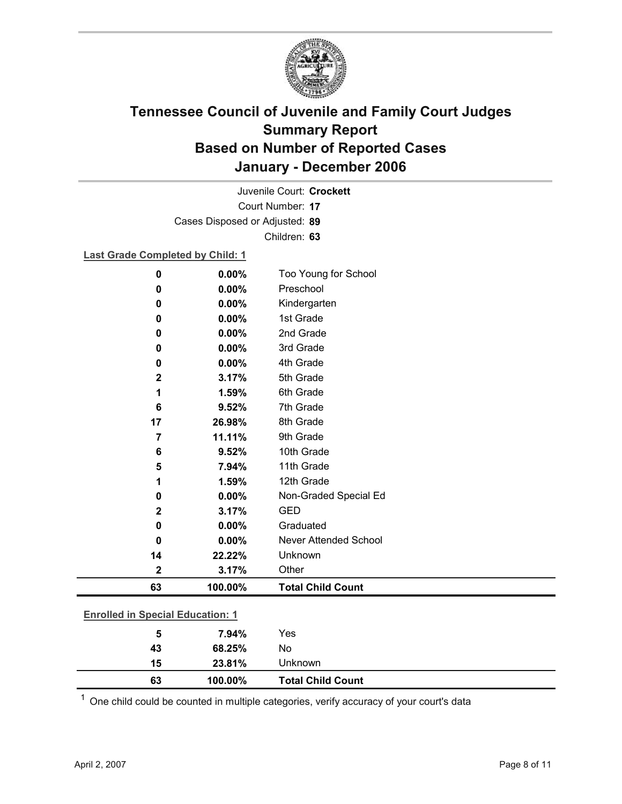

Court Number: **17** Juvenile Court: **Crockett** Cases Disposed or Adjusted: **89** Children: **63**

### **Last Grade Completed by Child: 1**

| 0                                       | 0.00%   | Too Young for School         |  |
|-----------------------------------------|---------|------------------------------|--|
| 0                                       | 0.00%   | Preschool                    |  |
| 0                                       | 0.00%   | Kindergarten                 |  |
| 0                                       | 0.00%   | 1st Grade                    |  |
| 0                                       | 0.00%   | 2nd Grade                    |  |
| 0                                       | 0.00%   | 3rd Grade                    |  |
| 0                                       | 0.00%   | 4th Grade                    |  |
| $\mathbf{2}$                            | 3.17%   | 5th Grade                    |  |
| 1                                       | 1.59%   | 6th Grade                    |  |
| 6                                       | 9.52%   | 7th Grade                    |  |
| 17                                      | 26.98%  | 8th Grade                    |  |
| $\overline{7}$                          | 11.11%  | 9th Grade                    |  |
| 6                                       | 9.52%   | 10th Grade                   |  |
| 5                                       | 7.94%   | 11th Grade                   |  |
| 1                                       | 1.59%   | 12th Grade                   |  |
| 0                                       | 0.00%   | Non-Graded Special Ed        |  |
| $\mathbf 2$                             | 3.17%   | <b>GED</b>                   |  |
| 0                                       | 0.00%   | Graduated                    |  |
| 0                                       | 0.00%   | <b>Never Attended School</b> |  |
| 14                                      | 22.22%  | Unknown                      |  |
| $\mathbf 2$                             | 3.17%   | Other                        |  |
| 63                                      | 100.00% | <b>Total Child Count</b>     |  |
| <b>Enrolled in Special Education: 1</b> |         |                              |  |
|                                         |         |                              |  |
| 5                                       | 7.94%   | Yes                          |  |

| 63 | 100.00% | <b>Total Child Count</b> |
|----|---------|--------------------------|
| 15 | 23.81%  | Jnknown                  |
| 43 | 68.25%  | No                       |

 $1$  One child could be counted in multiple categories, verify accuracy of your court's data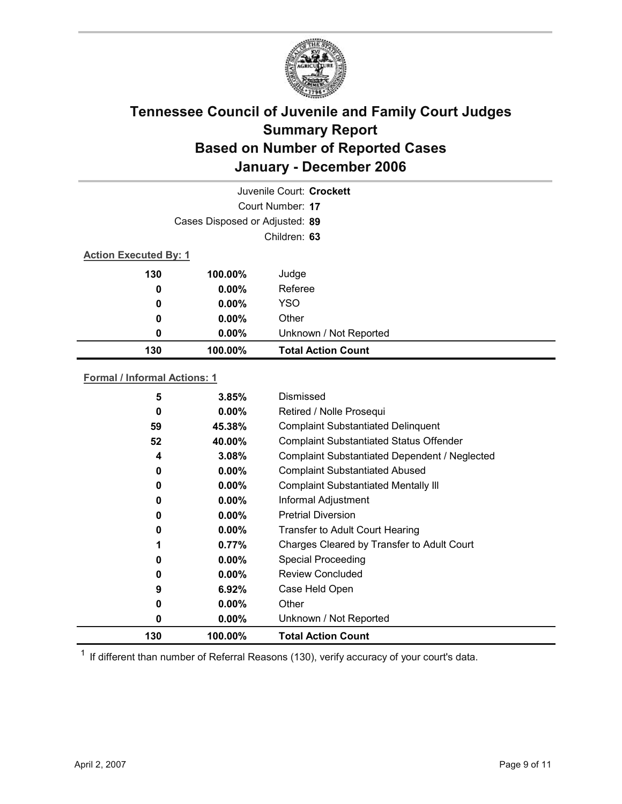

| Juvenile Court: Crockett     |                                |                           |  |  |  |
|------------------------------|--------------------------------|---------------------------|--|--|--|
|                              | Court Number: 17               |                           |  |  |  |
|                              | Cases Disposed or Adjusted: 89 |                           |  |  |  |
|                              |                                | Children: 63              |  |  |  |
| <b>Action Executed By: 1</b> |                                |                           |  |  |  |
| 130                          | 100.00%                        | Judge                     |  |  |  |
| 0                            | $0.00\%$                       | Referee                   |  |  |  |
| 0                            | $0.00\%$                       | <b>YSO</b>                |  |  |  |
| $\boldsymbol{0}$             | $0.00\%$                       | Other                     |  |  |  |
| 0                            | $0.00\%$                       | Unknown / Not Reported    |  |  |  |
| 130                          | 100.00%                        | <b>Total Action Count</b> |  |  |  |

### **Formal / Informal Actions: 1**

| 5   | 3.85%    | Dismissed                                      |
|-----|----------|------------------------------------------------|
| 0   | $0.00\%$ | Retired / Nolle Prosequi                       |
| 59  | 45.38%   | <b>Complaint Substantiated Delinquent</b>      |
| 52  | 40.00%   | <b>Complaint Substantiated Status Offender</b> |
| 4   | 3.08%    | Complaint Substantiated Dependent / Neglected  |
| 0   | $0.00\%$ | <b>Complaint Substantiated Abused</b>          |
| 0   | $0.00\%$ | <b>Complaint Substantiated Mentally III</b>    |
| 0   | $0.00\%$ | Informal Adjustment                            |
| 0   | $0.00\%$ | <b>Pretrial Diversion</b>                      |
| 0   | $0.00\%$ | <b>Transfer to Adult Court Hearing</b>         |
|     | 0.77%    | Charges Cleared by Transfer to Adult Court     |
| 0   | $0.00\%$ | <b>Special Proceeding</b>                      |
| 0   | $0.00\%$ | <b>Review Concluded</b>                        |
| 9   | $6.92\%$ | Case Held Open                                 |
| 0   | $0.00\%$ | Other                                          |
| 0   | $0.00\%$ | Unknown / Not Reported                         |
| 130 | 100.00%  | <b>Total Action Count</b>                      |

 $1$  If different than number of Referral Reasons (130), verify accuracy of your court's data.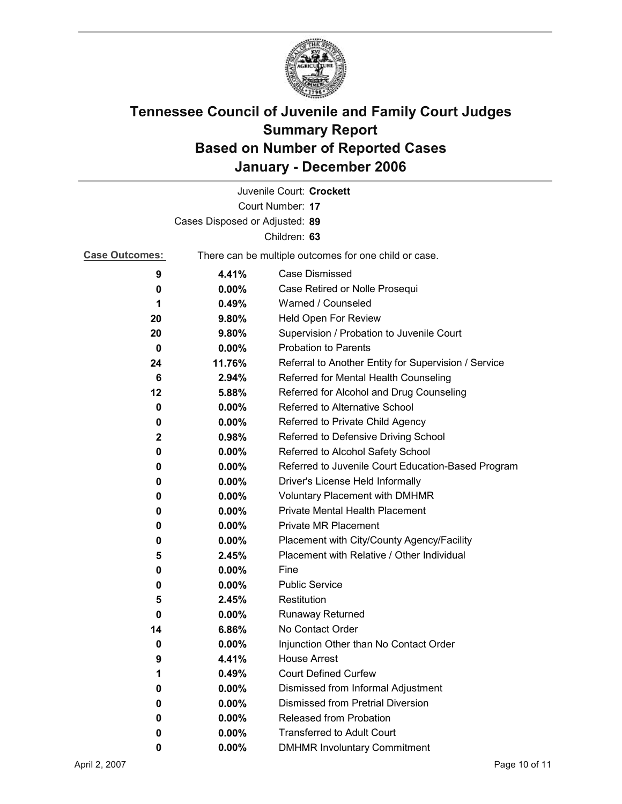

|                                |                                                       | Juvenile Court: Crockett                             |  |  |
|--------------------------------|-------------------------------------------------------|------------------------------------------------------|--|--|
|                                |                                                       | Court Number: 17                                     |  |  |
| Cases Disposed or Adjusted: 89 |                                                       |                                                      |  |  |
|                                |                                                       | Children: 63                                         |  |  |
| <b>Case Outcomes:</b>          | There can be multiple outcomes for one child or case. |                                                      |  |  |
| 9                              | 4.41%                                                 | <b>Case Dismissed</b>                                |  |  |
| 0                              | $0.00\%$                                              | Case Retired or Nolle Prosequi                       |  |  |
| 1                              | 0.49%                                                 | Warned / Counseled                                   |  |  |
| 20                             | 9.80%                                                 | Held Open For Review                                 |  |  |
| 20                             | 9.80%                                                 | Supervision / Probation to Juvenile Court            |  |  |
| 0                              | $0.00\%$                                              | <b>Probation to Parents</b>                          |  |  |
| 24                             | 11.76%                                                | Referral to Another Entity for Supervision / Service |  |  |
| 6                              | 2.94%                                                 | Referred for Mental Health Counseling                |  |  |
| 12                             | 5.88%                                                 | Referred for Alcohol and Drug Counseling             |  |  |
| 0                              | 0.00%                                                 | <b>Referred to Alternative School</b>                |  |  |
| 0                              | $0.00\%$                                              | Referred to Private Child Agency                     |  |  |
| $\mathbf{2}$                   | 0.98%                                                 | Referred to Defensive Driving School                 |  |  |
| 0                              | 0.00%                                                 | Referred to Alcohol Safety School                    |  |  |
| 0                              | 0.00%                                                 | Referred to Juvenile Court Education-Based Program   |  |  |
| 0                              | $0.00\%$                                              | Driver's License Held Informally                     |  |  |
| 0                              | $0.00\%$                                              | <b>Voluntary Placement with DMHMR</b>                |  |  |
| 0                              | 0.00%                                                 | <b>Private Mental Health Placement</b>               |  |  |
| 0                              | $0.00\%$                                              | <b>Private MR Placement</b>                          |  |  |
| 0                              | 0.00%                                                 | Placement with City/County Agency/Facility           |  |  |
| 5                              | 2.45%                                                 | Placement with Relative / Other Individual           |  |  |
| 0                              | $0.00\%$                                              | Fine                                                 |  |  |
| 0                              | $0.00\%$                                              | <b>Public Service</b>                                |  |  |
| 5                              | 2.45%                                                 | Restitution                                          |  |  |
| 0                              | 0.00%                                                 | Runaway Returned                                     |  |  |
| 14                             | 6.86%                                                 | No Contact Order                                     |  |  |
| 0                              | 0.00%                                                 | Injunction Other than No Contact Order               |  |  |
| 9                              | 4.41%                                                 | <b>House Arrest</b>                                  |  |  |
| 1                              | 0.49%                                                 | <b>Court Defined Curfew</b>                          |  |  |
| 0                              | $0.00\%$                                              | Dismissed from Informal Adjustment                   |  |  |
| 0                              | 0.00%                                                 | <b>Dismissed from Pretrial Diversion</b>             |  |  |
| 0                              | 0.00%                                                 | Released from Probation                              |  |  |
| 0                              | 0.00%                                                 | <b>Transferred to Adult Court</b>                    |  |  |
| 0                              | 0.00%                                                 | <b>DMHMR Involuntary Commitment</b>                  |  |  |